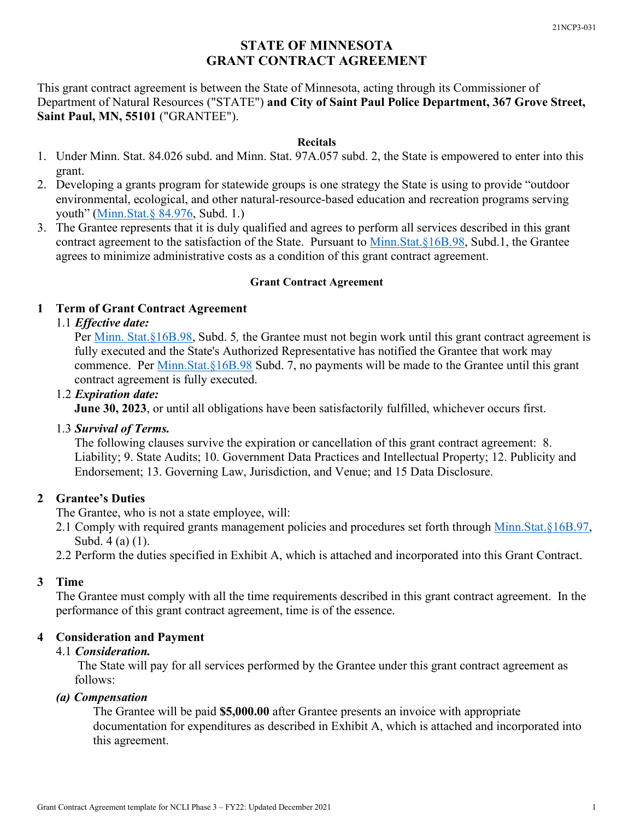# **STATE OF MINNESOTA GRANT CONTRACT AGREEMENT**

This grant contract agreement is between the State of Minnesota, acting through its Commissioner of Department of Natural Resources ("STATE") **and City of Saint Paul Police Department, 367 Grove Street, Saint Paul, MN, 55101** ("GRANTEE").

#### **Recitals**

- 1. Under Minn. Stat. 84.026 subd. and Minn. Stat. 97A.057 subd. 2, the State is empowered to enter into this grant.
- 2. Developing a grants program for statewide groups is one strategy the State is using to provide "outdoor environmental, ecological, and other natural-resource-based education and recreation programs serving youth" [\(Minn.Stat.§ 84.976,](https://www.revisor.mn.gov/statutes/cite/84.976) Subd. 1.)
- 3. The Grantee represents that it is duly qualified and agrees to perform all services described in this grant contract agreement to the satisfaction of the State. Pursuant to [Minn.Stat.§16B.98,](https://www.revisor.mn.gov/statutes/?id=16B.98) Subd.1, the Grantee agrees to minimize administrative costs as a condition of this grant contract agreement.

# **Grant Contract Agreement**

# **1 Term of Grant Contract Agreement**

# 1.1 *Effective date:*

Per [Minn. Stat.§16B.98,](https://www.revisor.mn.gov/statutes/?id=16B.98) Subd. 5*,* the Grantee must not begin work until this grant contract agreement is fully executed and the State's Authorized Representative has notified the Grantee that work may commence. Per [Minn.Stat.§16B.98](https://www.revisor.mn.gov/statutes/?id=16B.98) Subd. 7, no payments will be made to the Grantee until this grant contract agreement is fully executed.

# 1.2 *Expiration date:*

**June 30, 2023**, or until all obligations have been satisfactorily fulfilled, whichever occurs first.

# 1.3 *Survival of Terms.*

The following clauses survive the expiration or cancellation of this grant contract agreement: 8. Liability; 9. State Audits; 10. Government Data Practices and Intellectual Property; 12. Publicity and Endorsement; 13. Governing Law, Jurisdiction, and Venue; and 15 Data Disclosure.

# **2 Grantee's Duties**

The Grantee, who is not a state employee, will:

- 2.1 Comply with required grants management policies and procedures set forth through [Minn.Stat.§16B.97,](https://www.revisor.mn.gov/statutes/?id=16B.97) Subd. 4 (a) (1).
- 2.2 Perform the duties specified in Exhibit A, which is attached and incorporated into this Grant Contract.

# **3 Time**

The Grantee must comply with all the time requirements described in this grant contract agreement. In the performance of this grant contract agreement, time is of the essence.

# **4 Consideration and Payment**

# 4.1 *Consideration.*

The State will pay for all services performed by the Grantee under this grant contract agreement as follows:

# *(a) Compensation*

The Grantee will be paid **\$5,000.00** after Grantee presents an invoice with appropriate documentation for expenditures as described in Exhibit A, which is attached and incorporated into this agreement.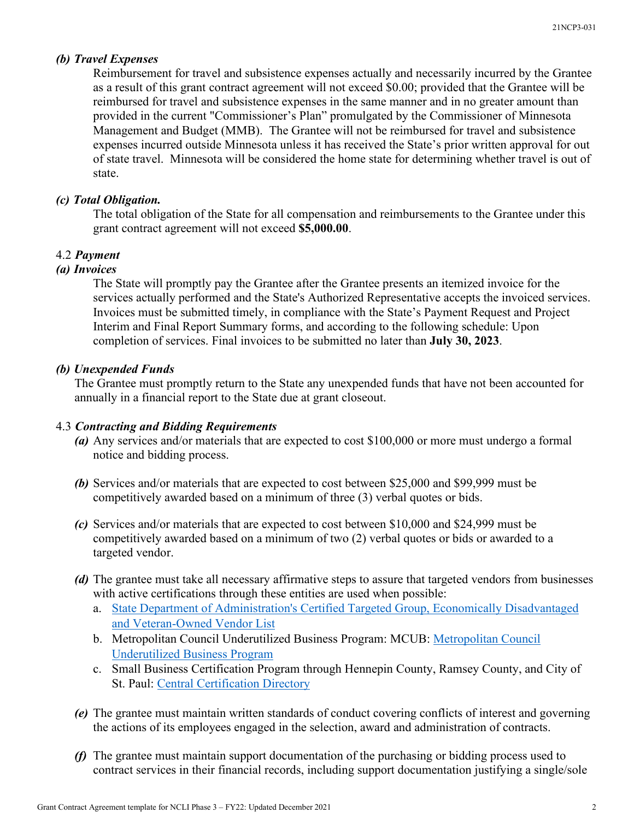#### *(b) Travel Expenses*

Reimbursement for travel and subsistence expenses actually and necessarily incurred by the Grantee as a result of this grant contract agreement will not exceed \$0.00; provided that the Grantee will be reimbursed for travel and subsistence expenses in the same manner and in no greater amount than provided in the current "Commissioner's Plan" promulgated by the Commissioner of Minnesota Management and Budget (MMB). The Grantee will not be reimbursed for travel and subsistence expenses incurred outside Minnesota unless it has received the State's prior written approval for out of state travel. Minnesota will be considered the home state for determining whether travel is out of state.

#### *(c) Total Obligation.*

The total obligation of the State for all compensation and reimbursements to the Grantee under this grant contract agreement will not exceed **\$5,000.00**.

# 4.2 *Payment*

#### *(a) Invoices*

The State will promptly pay the Grantee after the Grantee presents an itemized invoice for the services actually performed and the State's Authorized Representative accepts the invoiced services. Invoices must be submitted timely, in compliance with the State's Payment Request and Project Interim and Final Report Summary forms, and according to the following schedule: Upon completion of services. Final invoices to be submitted no later than **July 30, 2023**.

#### *(b) Unexpended Funds*

The Grantee must promptly return to the State any unexpended funds that have not been accounted for annually in a financial report to the State due at grant closeout.

#### 4.3 *Contracting and Bidding Requirements*

- *(a)* Any services and/or materials that are expected to cost \$100,000 or more must undergo a formal notice and bidding process.
- *(b)* Services and/or materials that are expected to cost between \$25,000 and \$99,999 must be competitively awarded based on a minimum of three (3) verbal quotes or bids.
- *(c)* Services and/or materials that are expected to cost between \$10,000 and \$24,999 must be competitively awarded based on a minimum of two (2) verbal quotes or bids or awarded to a targeted vendor.
- *(d)* The grantee must take all necessary affirmative steps to assure that targeted vendors from businesses with active certifications through these entities are used when possible:
	- a. [State Department of Administration's Certified Targeted Group, Economically Disadvantaged](http://www.mmd.admin.state.mn.us/process/search/)  [and Veteran-Owned Vendor List](http://www.mmd.admin.state.mn.us/process/search/)
	- b. Metropolitan Council Underutilized Business Program: MCUB: [Metropolitan Council](https://mcub.metc.state.mn.us/)  [Underutilized Business Program](https://mcub.metc.state.mn.us/)
	- c. Small Business Certification Program through Hennepin County, Ramsey County, and City of St. Paul: [Central Certification Directory](https://cert.smwbe.com/)
- *(e)* The grantee must maintain written standards of conduct covering conflicts of interest and governing the actions of its employees engaged in the selection, award and administration of contracts.
- *(f)* The grantee must maintain support documentation of the purchasing or bidding process used to contract services in their financial records, including support documentation justifying a single/sole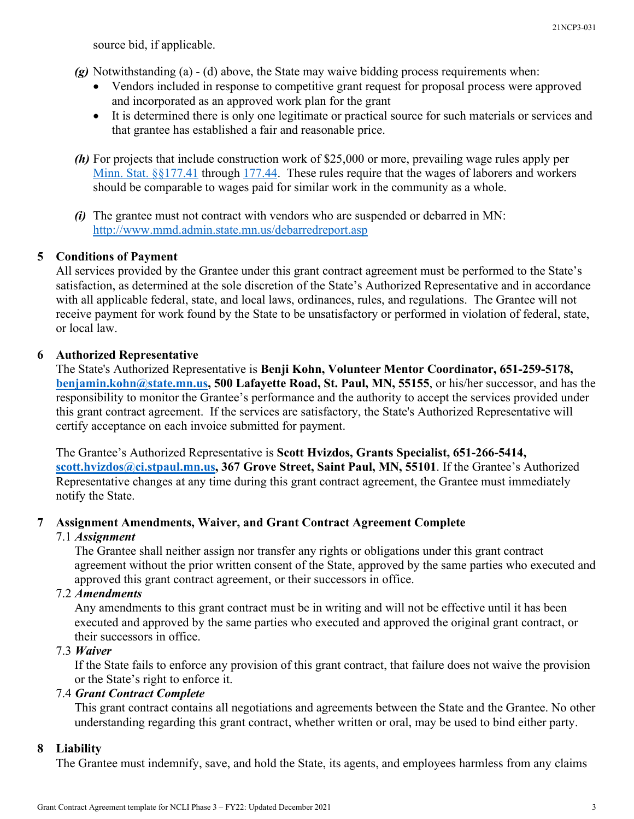source bid, if applicable.

- *(g)* Notwithstanding (a) (d) above, the State may waive bidding process requirements when:
	- Vendors included in response to competitive grant request for proposal process were approved and incorporated as an approved work plan for the grant
	- It is determined there is only one legitimate or practical source for such materials or services and that grantee has established a fair and reasonable price.
- *(h)* For projects that include construction work of \$25,000 or more, prevailing wage rules apply per [Minn. Stat. §§177.41](https://www.revisor.leg.state.mn.us/statutes/?id=177.41) through [177.44.](https://www.revisor.leg.state.mn.us/statutes/?id=177.44) These rules require that the wages of laborers and workers should be comparable to wages paid for similar work in the community as a whole.
- *(i)* The grantee must not contract with vendors who are suspended or debarred in MN: <http://www.mmd.admin.state.mn.us/debarredreport.asp>

# **5 Conditions of Payment**

All services provided by the Grantee under this grant contract agreement must be performed to the State's satisfaction, as determined at the sole discretion of the State's Authorized Representative and in accordance with all applicable federal, state, and local laws, ordinances, rules, and regulations. The Grantee will not receive payment for work found by the State to be unsatisfactory or performed in violation of federal, state, or local law.

# **6 Authorized Representative**

The State's Authorized Representative is **Benji Kohn, Volunteer Mentor Coordinator, 651-259-5178, [benjamin.kohn@state.mn.us,](mailto:benjamin.kohn@state.mn.us) 500 Lafayette Road, St. Paul, MN, 55155**, or his/her successor, and has the responsibility to monitor the Grantee's performance and the authority to accept the services provided under this grant contract agreement. If the services are satisfactory, the State's Authorized Representative will certify acceptance on each invoice submitted for payment.

The Grantee's Authorized Representative is **Scott Hvizdos, Grants Specialist, 651-266-5414, [scott.hvizdos@ci.stpaul.mn.us,](mailto:scott.hvizdos@ci.stpaul.mn.us) 367 Grove Street, Saint Paul, MN, 55101**. If the Grantee's Authorized Representative changes at any time during this grant contract agreement, the Grantee must immediately notify the State.

# **7 Assignment Amendments, Waiver, and Grant Contract Agreement Complete**

# 7.1 *Assignment*

The Grantee shall neither assign nor transfer any rights or obligations under this grant contract agreement without the prior written consent of the State, approved by the same parties who executed and approved this grant contract agreement, or their successors in office.

# 7.2 *Amendments*

Any amendments to this grant contract must be in writing and will not be effective until it has been executed and approved by the same parties who executed and approved the original grant contract, or their successors in office.

# 7.3 *Waiver*

If the State fails to enforce any provision of this grant contract, that failure does not waive the provision or the State's right to enforce it.

# 7.4 *Grant Contract Complete*

This grant contract contains all negotiations and agreements between the State and the Grantee. No other understanding regarding this grant contract, whether written or oral, may be used to bind either party.

# **8 Liability**

The Grantee must indemnify, save, and hold the State, its agents, and employees harmless from any claims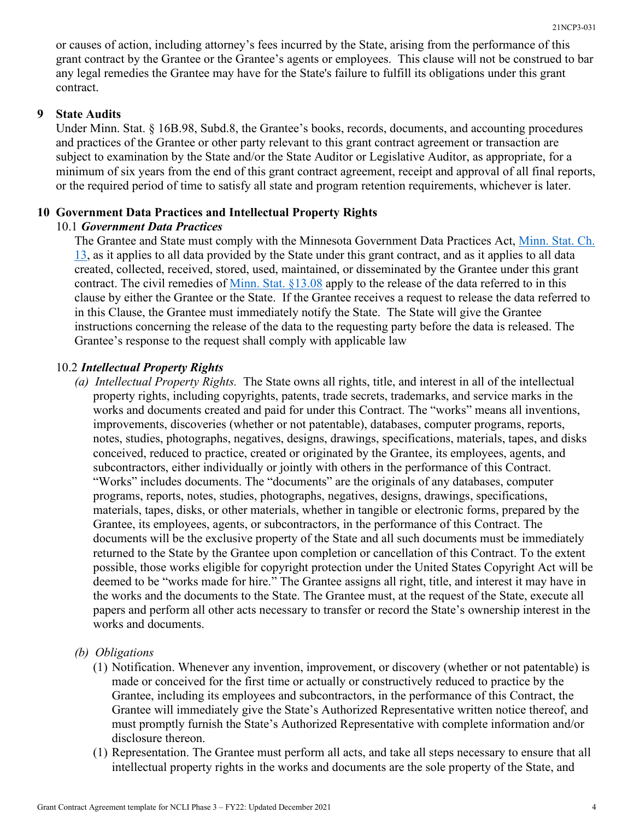or causes of action, including attorney's fees incurred by the State, arising from the performance of this grant contract by the Grantee or the Grantee's agents or employees. This clause will not be construed to bar any legal remedies the Grantee may have for the State's failure to fulfill its obligations under this grant contract.

# **9 State Audits**

Under Minn. Stat. § 16B.98, Subd.8, the Grantee's books, records, documents, and accounting procedures and practices of the Grantee or other party relevant to this grant contract agreement or transaction are subject to examination by the State and/or the State Auditor or Legislative Auditor, as appropriate, for a minimum of six years from the end of this grant contract agreement, receipt and approval of all final reports, or the required period of time to satisfy all state and program retention requirements, whichever is later.

# **10 Government Data Practices and Intellectual Property Rights**

# 10.1 *Government Data Practices*

The Grantee and State must comply with the Minnesota Government Data Practices Act, [Minn. Stat. Ch.](https://www.revisor.leg.state.mn.us/statutes/?id=13)  [13,](https://www.revisor.leg.state.mn.us/statutes/?id=13) as it applies to all data provided by the State under this grant contract, and as it applies to all data created, collected, received, stored, used, maintained, or disseminated by the Grantee under this grant contract. The civil remedies of <u>Minn. Stat. §13.08</u> apply to the release of the data referred to in this clause by either the Grantee or the State. If the Grantee receives a request to release the data referred to in this Clause, the Grantee must immediately notify the State. The State will give the Grantee instructions concerning the release of the data to the requesting party before the data is released. The Grantee's response to the request shall comply with applicable law

# 10.2 *Intellectual Property Rights*

*(a) Intellectual Property Rights.* The State owns all rights, title, and interest in all of the intellectual property rights, including copyrights, patents, trade secrets, trademarks, and service marks in the works and documents created and paid for under this Contract. The "works" means all inventions, improvements, discoveries (whether or not patentable), databases, computer programs, reports, notes, studies, photographs, negatives, designs, drawings, specifications, materials, tapes, and disks conceived, reduced to practice, created or originated by the Grantee, its employees, agents, and subcontractors, either individually or jointly with others in the performance of this Contract. "Works" includes documents. The "documents" are the originals of any databases, computer programs, reports, notes, studies, photographs, negatives, designs, drawings, specifications, materials, tapes, disks, or other materials, whether in tangible or electronic forms, prepared by the Grantee, its employees, agents, or subcontractors, in the performance of this Contract. The documents will be the exclusive property of the State and all such documents must be immediately returned to the State by the Grantee upon completion or cancellation of this Contract. To the extent possible, those works eligible for copyright protection under the United States Copyright Act will be deemed to be "works made for hire." The Grantee assigns all right, title, and interest it may have in the works and the documents to the State. The Grantee must, at the request of the State, execute all papers and perform all other acts necessary to transfer or record the State's ownership interest in the works and documents.

# *(b) Obligations*

- (1) Notification. Whenever any invention, improvement, or discovery (whether or not patentable) is made or conceived for the first time or actually or constructively reduced to practice by the Grantee, including its employees and subcontractors, in the performance of this Contract, the Grantee will immediately give the State's Authorized Representative written notice thereof, and must promptly furnish the State's Authorized Representative with complete information and/or disclosure thereon.
- (1) Representation. The Grantee must perform all acts, and take all steps necessary to ensure that all intellectual property rights in the works and documents are the sole property of the State, and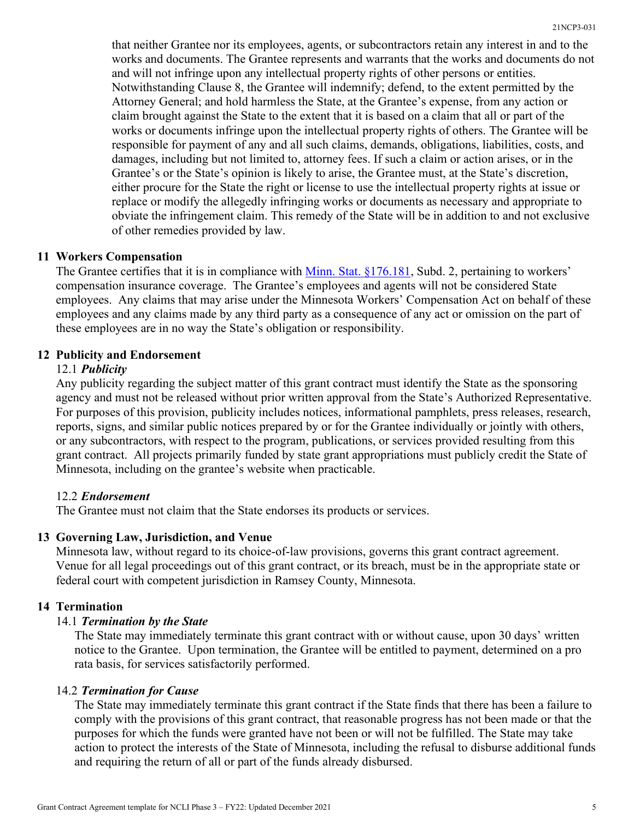that neither Grantee nor its employees, agents, or subcontractors retain any interest in and to the works and documents. The Grantee represents and warrants that the works and documents do not and will not infringe upon any intellectual property rights of other persons or entities. Notwithstanding Clause 8, the Grantee will indemnify; defend, to the extent permitted by the Attorney General; and hold harmless the State, at the Grantee's expense, from any action or claim brought against the State to the extent that it is based on a claim that all or part of the works or documents infringe upon the intellectual property rights of others. The Grantee will be responsible for payment of any and all such claims, demands, obligations, liabilities, costs, and damages, including but not limited to, attorney fees. If such a claim or action arises, or in the Grantee's or the State's opinion is likely to arise, the Grantee must, at the State's discretion, either procure for the State the right or license to use the intellectual property rights at issue or replace or modify the allegedly infringing works or documents as necessary and appropriate to obviate the infringement claim. This remedy of the State will be in addition to and not exclusive of other remedies provided by law.

#### **11 Workers Compensation**

The Grantee certifies that it is in compliance with [Minn. Stat. §176.181,](https://www.revisor.leg.state.mn.us/statutes/?id=176.181) Subd. 2, pertaining to workers' compensation insurance coverage. The Grantee's employees and agents will not be considered State employees. Any claims that may arise under the Minnesota Workers' Compensation Act on behalf of these employees and any claims made by any third party as a consequence of any act or omission on the part of these employees are in no way the State's obligation or responsibility.

# **12 Publicity and Endorsement**

#### 12.1 *Publicity*

Any publicity regarding the subject matter of this grant contract must identify the State as the sponsoring agency and must not be released without prior written approval from the State's Authorized Representative. For purposes of this provision, publicity includes notices, informational pamphlets, press releases, research, reports, signs, and similar public notices prepared by or for the Grantee individually or jointly with others, or any subcontractors, with respect to the program, publications, or services provided resulting from this grant contract. All projects primarily funded by state grant appropriations must publicly credit the State of Minnesota, including on the grantee's website when practicable.

#### 12.2 *Endorsement*

The Grantee must not claim that the State endorses its products or services.

#### **13 Governing Law, Jurisdiction, and Venue**

Minnesota law, without regard to its choice-of-law provisions, governs this grant contract agreement. Venue for all legal proceedings out of this grant contract, or its breach, must be in the appropriate state or federal court with competent jurisdiction in Ramsey County, Minnesota.

#### **14 Termination**

#### 14.1 *Termination by the State*

The State may immediately terminate this grant contract with or without cause, upon 30 days' written notice to the Grantee. Upon termination, the Grantee will be entitled to payment, determined on a pro rata basis, for services satisfactorily performed.

#### 14.2 *Termination for Cause*

The State may immediately terminate this grant contract if the State finds that there has been a failure to comply with the provisions of this grant contract, that reasonable progress has not been made or that the purposes for which the funds were granted have not been or will not be fulfilled. The State may take action to protect the interests of the State of Minnesota, including the refusal to disburse additional funds and requiring the return of all or part of the funds already disbursed.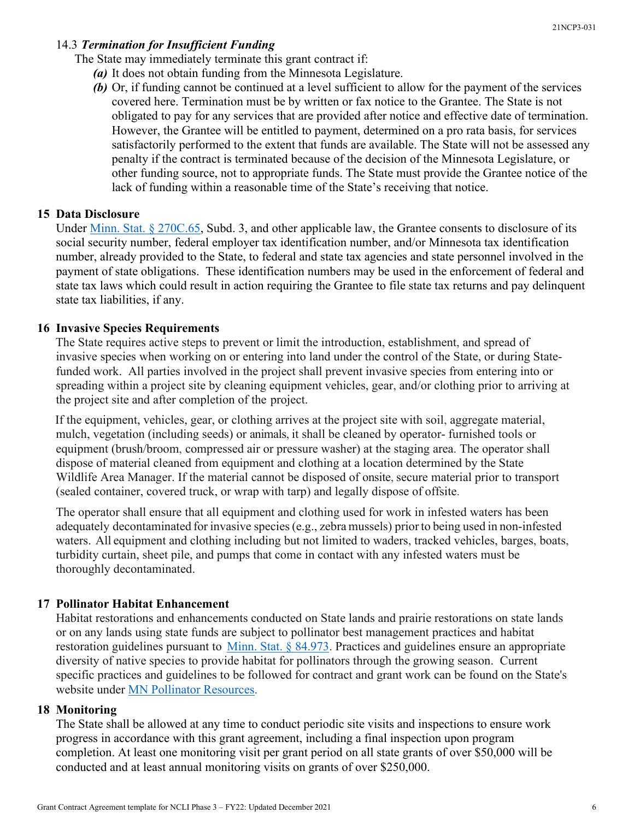# 14.3 *Termination for Insufficient Funding*

The State may immediately terminate this grant contract if:

- *(a)* It does not obtain funding from the Minnesota Legislature.
- *(b)* Or, if funding cannot be continued at a level sufficient to allow for the payment of the services covered here. Termination must be by written or fax notice to the Grantee. The State is not obligated to pay for any services that are provided after notice and effective date of termination. However, the Grantee will be entitled to payment, determined on a pro rata basis, for services satisfactorily performed to the extent that funds are available. The State will not be assessed any penalty if the contract is terminated because of the decision of the Minnesota Legislature, or other funding source, not to appropriate funds. The State must provide the Grantee notice of the lack of funding within a reasonable time of the State's receiving that notice.

#### **15 Data Disclosure**

Under [Minn. Stat. § 270C.65,](https://www.revisor.leg.state.mn.us/statutes/?id=270C.65) Subd. 3, and other applicable law, the Grantee consents to disclosure of its social security number, federal employer tax identification number, and/or Minnesota tax identification number, already provided to the State, to federal and state tax agencies and state personnel involved in the payment of state obligations. These identification numbers may be used in the enforcement of federal and state tax laws which could result in action requiring the Grantee to file state tax returns and pay delinquent state tax liabilities, if any.

#### **16 Invasive Species Requirements**

The State requires active steps to prevent or limit the introduction, establishment, and spread of invasive species when working on or entering into land under the control of the State, or during Statefunded work. All parties involved in the project shall prevent invasive species from entering into or spreading within a project site by cleaning equipment vehicles, gear, and/or clothing prior to arriving at the project site and after completion of the project.

If the equipment, vehicles, gear, or clothing arrives at the project site with soil, aggregate material, mulch, vegetation (including seeds) or animals, it shall be cleaned by operator- furnished tools or equipment (brush/broom, compressed air or pressure washer) at the staging area. The operator shall dispose of material cleaned from equipment and clothing at a location determined by the State Wildlife Area Manager. If the material cannot be disposed of onsite, secure material prior to transport (sealed container, covered truck, or wrap with tarp) and legally dispose of offsite.

The operator shall ensure that all equipment and clothing used for work in infested waters has been adequately decontaminated for invasive species(e.g., zebra mussels) priorto being used in non-infested waters. All equipment and clothing including but not limited to waders, tracked vehicles, barges, boats, turbidity curtain, sheet pile, and pumps that come in contact with any infested waters must be thoroughly decontaminated.

#### **17 Pollinator Habitat Enhancement**

Habitat restorations and enhancements conducted on State lands and prairie restorations on state lands or on any lands using state funds are subject to pollinator best management practices and habitat restoration guidelines pursuant to [Minn. Stat. § 84.973.](https://www.revisor.mn.gov/statutes/cite/84.973) Practices and guidelines ensure an appropriate diversity of native species to provide habitat for pollinators through the growing season. Current specific practices and guidelines to be followed for contract and grant work can be found on the State's website under [MN Pollinator Resources.](https://www.dnr.state.mn.us/pollinator_resources/index.html)

#### **18 Monitoring**

The State shall be allowed at any time to conduct periodic site visits and inspections to ensure work progress in accordance with this grant agreement, including a final inspection upon program completion. At least one monitoring visit per grant period on all state grants of over \$50,000 will be conducted and at least annual monitoring visits on grants of over \$250,000.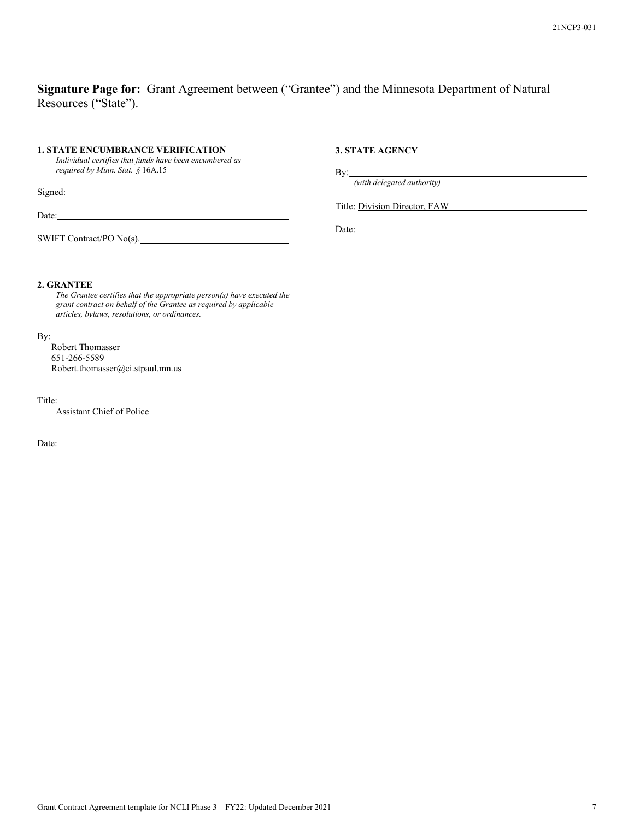# **Signature Page for:** Grant Agreement between ("Grantee") and the Minnesota Department of Natural Resources ("State").

#### **1. STATE ENCUMBRANCE VERIFICATION**

*Individual certifies that funds have been encumbered as required by Minn. Stat. §* 16A.15

Signed:

Date:

SWIFT Contract/PO No(s).

#### **3. STATE AGENCY**

By:

*(with delegated authority)*

Title: Division Director, FAW

Date:

#### **2. GRANTEE**

*The Grantee certifies that the appropriate person(s) have executed the grant contract on behalf of the Grantee as required by applicable articles, bylaws, resolutions, or ordinances.*

By:

Robert Thomasser 651-266-5589 Robert.thomasser@ci.stpaul.mn.us

Title:

Assistant Chief of Police

Date: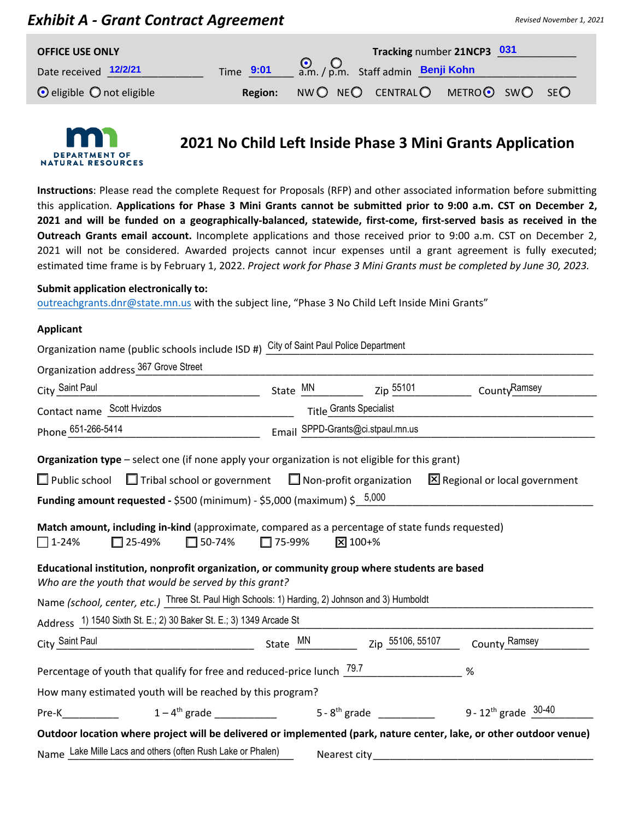# *Exhibit A - Grant Contract Agreement*

| <b>OFFICE USE ONLY</b>                |                | Tracking number 21NCP3 031      |  |  |
|---------------------------------------|----------------|---------------------------------|--|--|
| Date received 12/2/21                 | Time 9:01      | Q, Q, Staff admin Benji Kohn    |  |  |
| $\odot$ eligible $\odot$ not eligible | <b>Region:</b> | NWO NEO CENTRALO METROO SWO SEO |  |  |



# **2021 No Child Left Inside Phase 3 Mini Grants Application**

**Instructions**: Please read the complete Request for Proposals (RFP) and other associated information before submitting this application. Applications for Phase 3 Mini Grants cannot be submitted prior to 9:00 a.m. CST on December 2, **2021 and will be funded on a geographically-balanced, statewide, first-come, first-served basis as received in the Outreach Grants email account.** Incomplete applications and those received prior to 9:00 a.m. CST on December 2, 2021 will not be considered. Awarded projects cannot incur expenses until a grant agreement is fully executed; estimated time frame is by February 1, 2022. *Project work for Phase 3 Mini Grants must be completed by June 30, 2023.* 

#### **Submit application electronically to:**

outreachgrants.dnr@state.mn.us with the subject line, "Phase 3 No Child Left Inside Mini Grants"

#### **Applicant**

| Organization name (public schools include ISD #) City of Saint Paul Police Department                                  |                             |                                   |                                |  |  |
|------------------------------------------------------------------------------------------------------------------------|-----------------------------|-----------------------------------|--------------------------------|--|--|
| Organization address 367 Grove Street                                                                                  |                             |                                   |                                |  |  |
| City Saint Paul                                                                                                        |                             | State MN Zip 55101 County Ramsey  |                                |  |  |
| Contact name Scott Hvizdos<br>Title Grants Specialist                                                                  |                             |                                   |                                |  |  |
| Phone 651-266-5414                                                                                                     |                             | Email SPPD-Grants@ci.stpaul.mn.us |                                |  |  |
| Organization type - select one (if none apply your organization is not eligible for this grant)                        |                             |                                   |                                |  |  |
|                                                                                                                        |                             |                                   |                                |  |  |
| $\Box$ Public school $\Box$ Tribal school or government $\Box$ Non-profit organization                                 |                             |                                   | X Regional or local government |  |  |
| <b>Funding amount requested -</b> \$500 (minimum) - \$5,000 (maximum) \$ $\frac{5,000}{2}$                             |                             |                                   |                                |  |  |
|                                                                                                                        |                             |                                   |                                |  |  |
| Match amount, including in-kind (approximate, compared as a percentage of state funds requested)                       |                             |                                   |                                |  |  |
| $\square$ 25-49%                                                                                                       | $\Box$ 50-74% $\Box$ 75-99% | $\sqrt{2}$ 100+%                  |                                |  |  |
| $\Box$ 1-24%                                                                                                           |                             |                                   |                                |  |  |
| Educational institution, nonprofit organization, or community group where students are based                           |                             |                                   |                                |  |  |
| Who are the youth that would be served by this grant?                                                                  |                             |                                   |                                |  |  |
|                                                                                                                        |                             |                                   |                                |  |  |
| Name (school, center, etc.) Three St. Paul High Schools: 1) Harding, 2) Johnson and 3) Humboldt                        |                             |                                   |                                |  |  |
| Address 1) 1540 Sixth St. E.; 2) 30 Baker St. E.; 3) 1349 Arcade St                                                    |                             |                                   |                                |  |  |
| City Saint Paul                                                                                                        | State $M$ <sup>MN</sup>     | Zip 55106, 55107                  | County Ramsey                  |  |  |
| Percentage of youth that qualify for free and reduced-price lunch $\frac{79.7}{29.7}$                                  |                             |                                   | $\%$                           |  |  |
|                                                                                                                        |                             |                                   |                                |  |  |
| How many estimated youth will be reached by this program?                                                              |                             |                                   |                                |  |  |
| Pre-K $1-4$ <sup>th</sup> grade $5-8$ <sup>th</sup> grade $5-8$ <sup>th</sup> grade $9-12$ <sup>th</sup> grade $30-40$ |                             |                                   |                                |  |  |
| Outdoor location where project will be delivered or implemented (park, nature center, lake, or other outdoor venue)    |                             |                                   |                                |  |  |
| Name Lake Mille Lacs and others (often Rush Lake or Phalen)                                                            |                             | Nearest city_                     |                                |  |  |